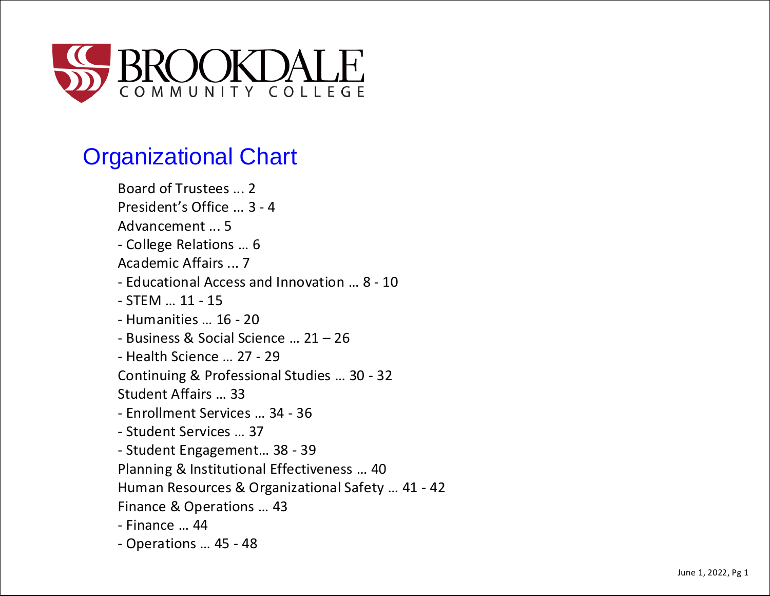

# Organizational Chart

Board of Trustees ... 2 President's Office ... 3 - 4 Advancement ... 5 - College Relations … 6 Academic Affairs ... 7 - Educational Access and Innovation … 8 - 10 - STEM … 11 - 15 - Humanities … 16 - 20 - Business & Social Science … 21 – 26 - Health Science … 27 - 29 Continuing & Professional Studies … 30 - 32 Student Affairs … 33 - Enrollment Services … 34 - 36 - Student Services … 37 - Student Engagement… 38 - 39 Planning & Institutional Effectiveness … 40 Human Resources & Organizational Safety … 41 - 42 Finance & Operations … 43 - Finance … 44 - Operations … 45 - 48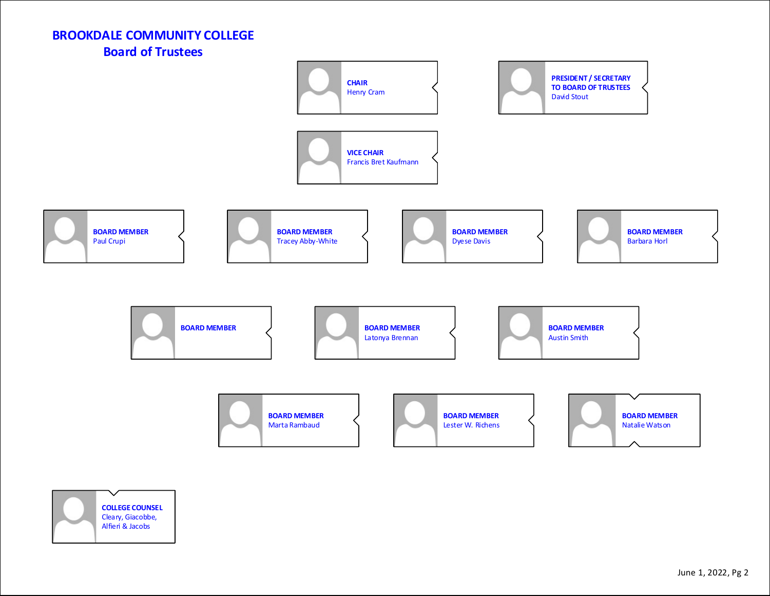## **BROOKDALE COMMUNITY COLLEGE Board of Trustees**



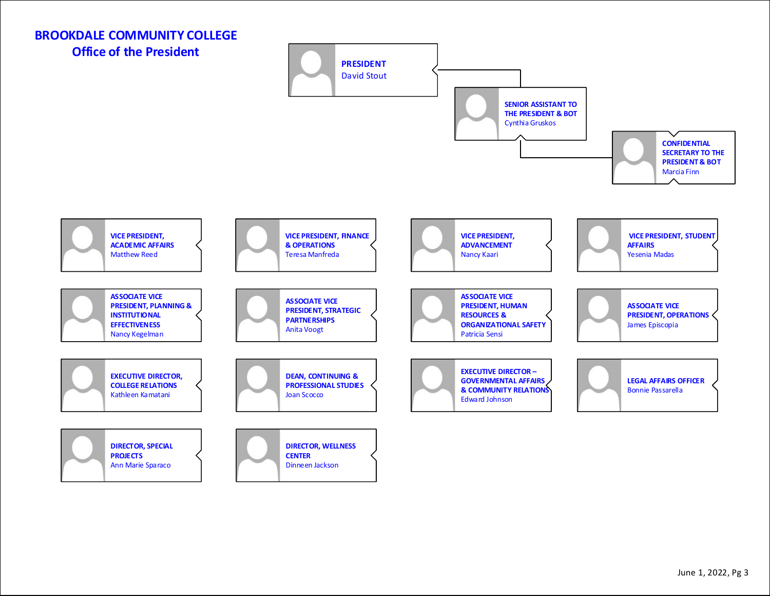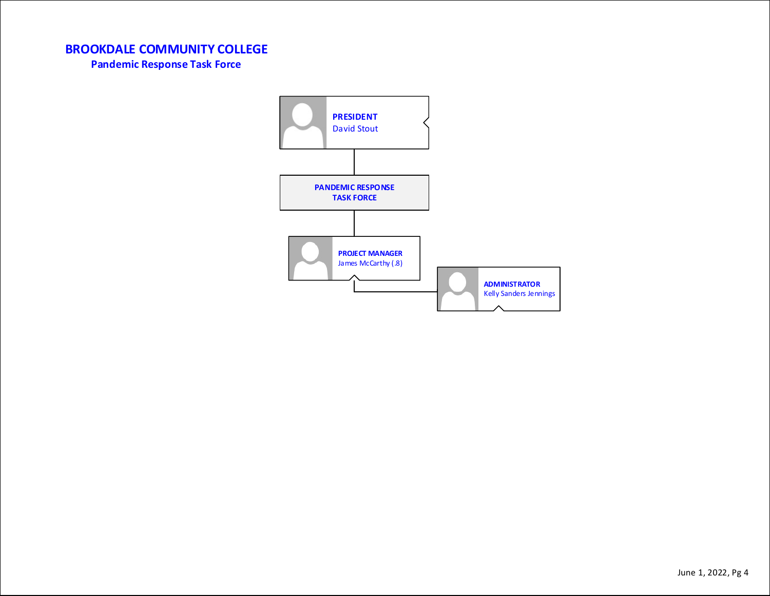**Pandemic Response Task Force**

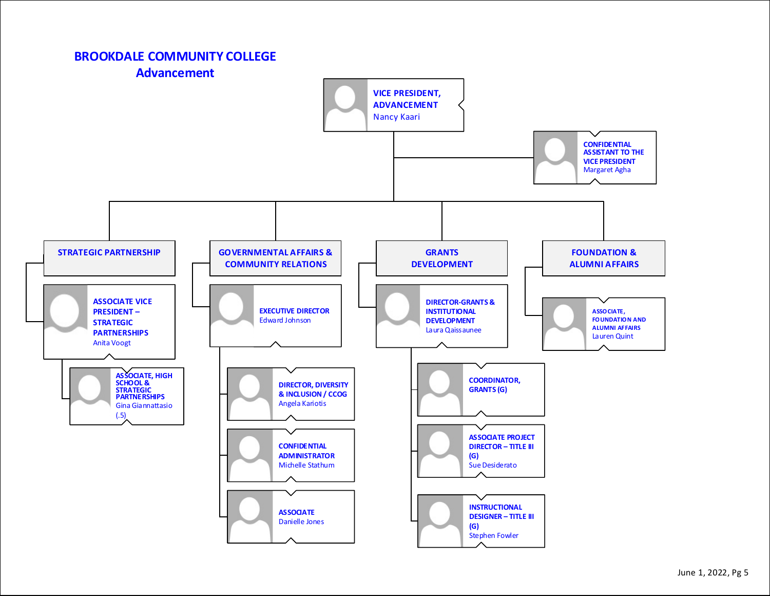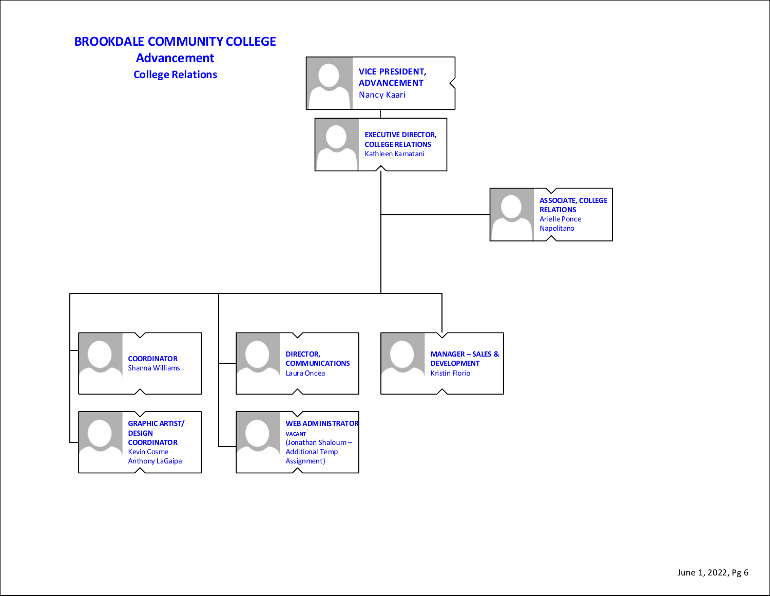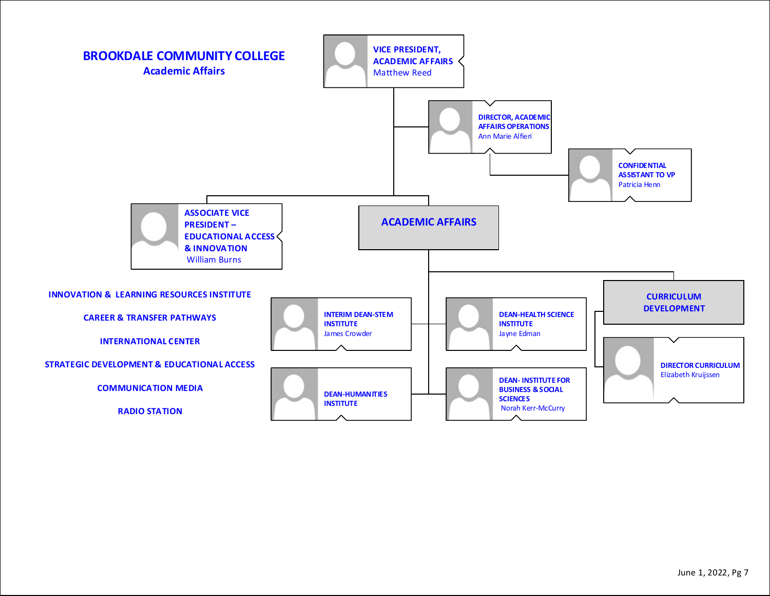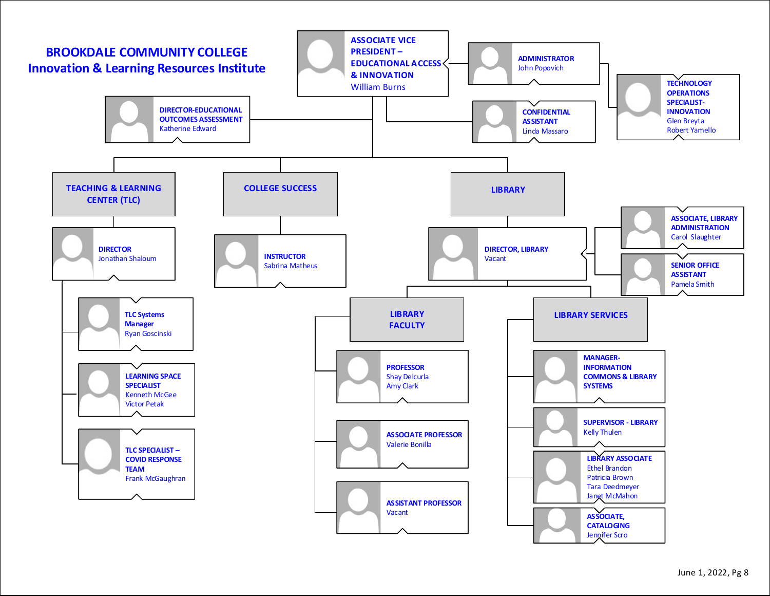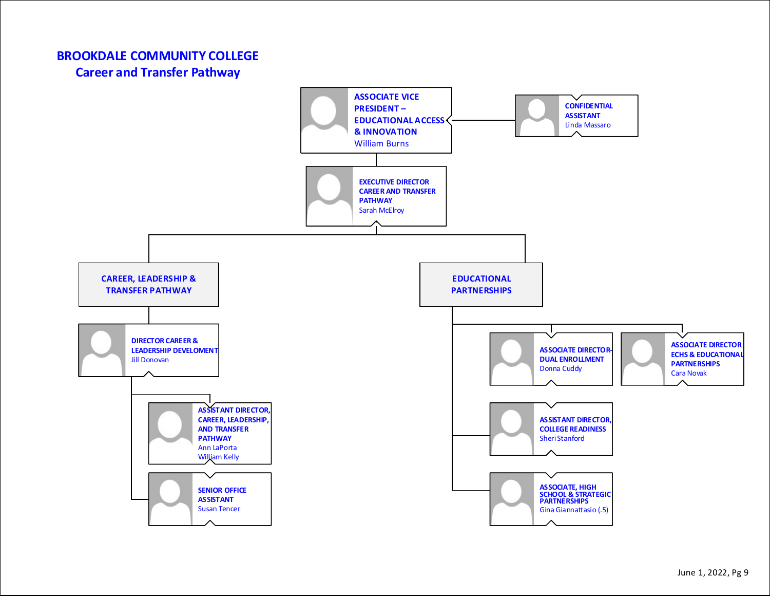## **BROOKDALE COMMUNITY COLLEGE Career and Transfer Pathway**

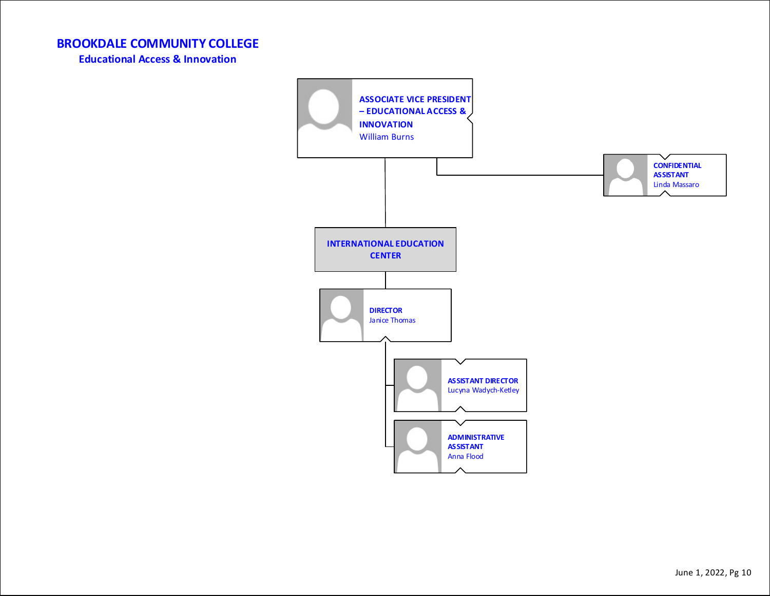**Educational Access & Innovation**

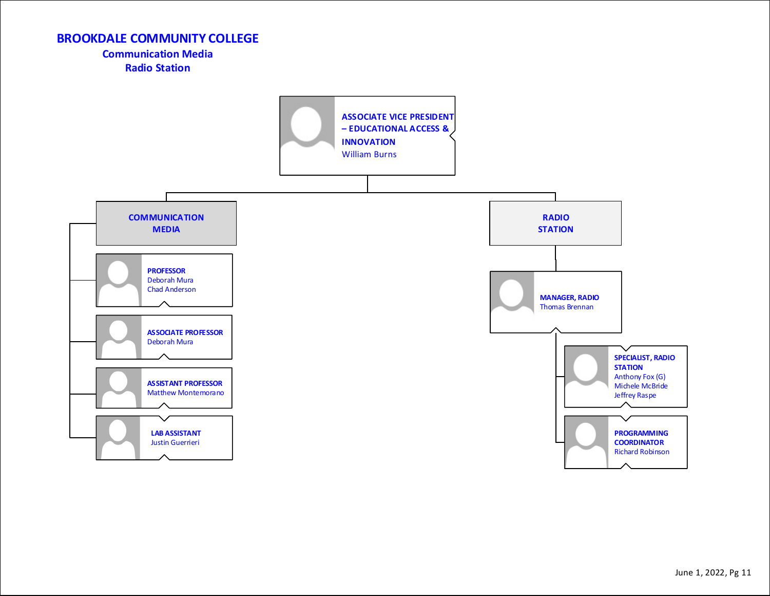#### **Communication Media Radio Station**

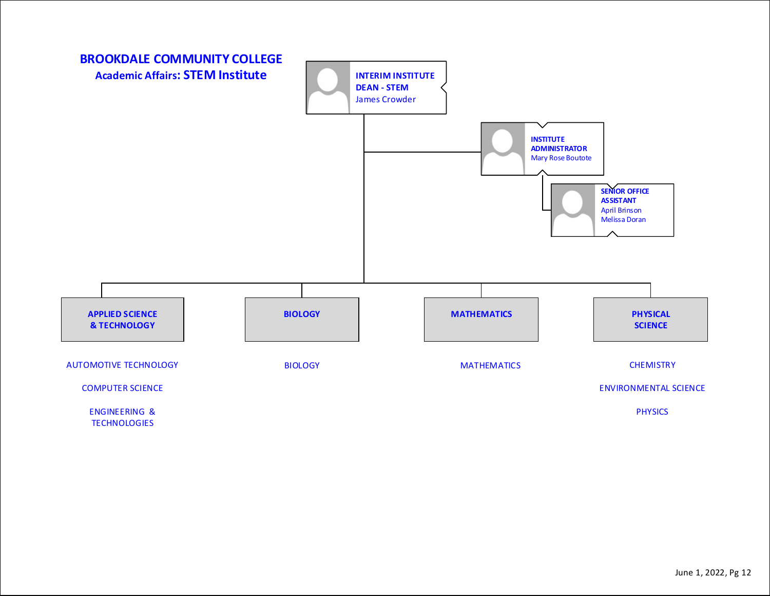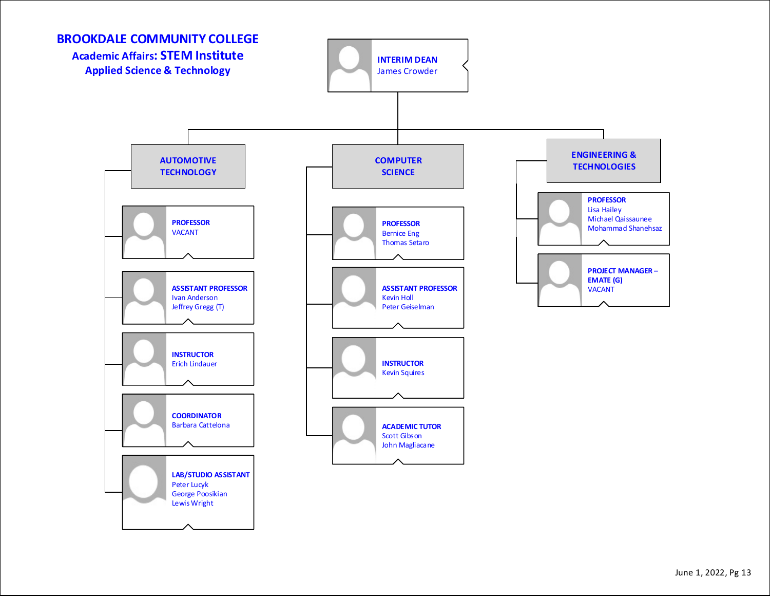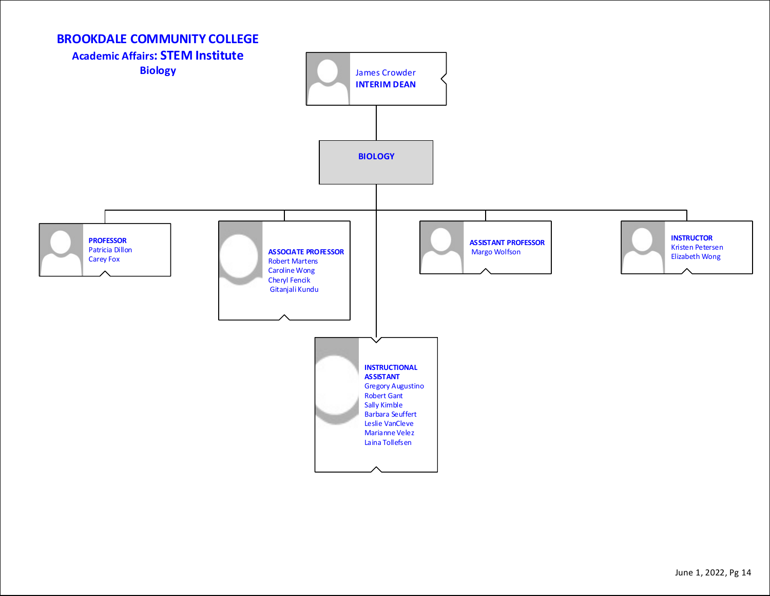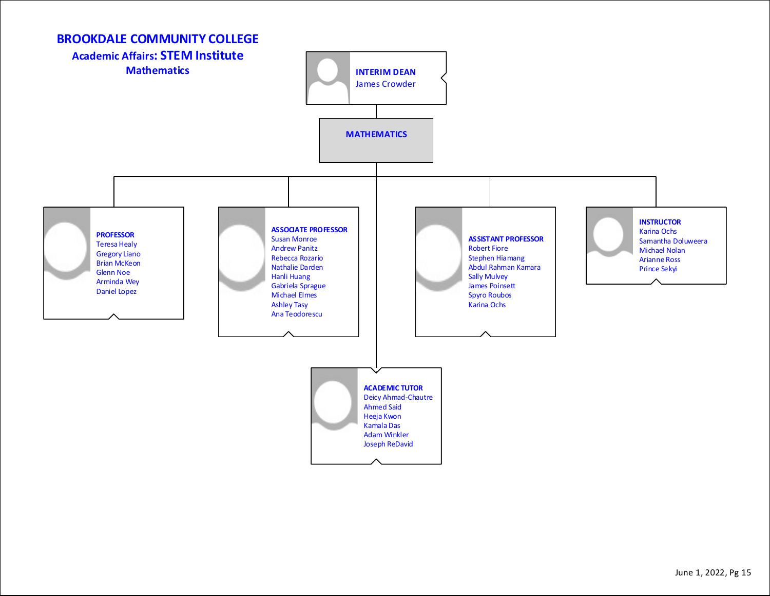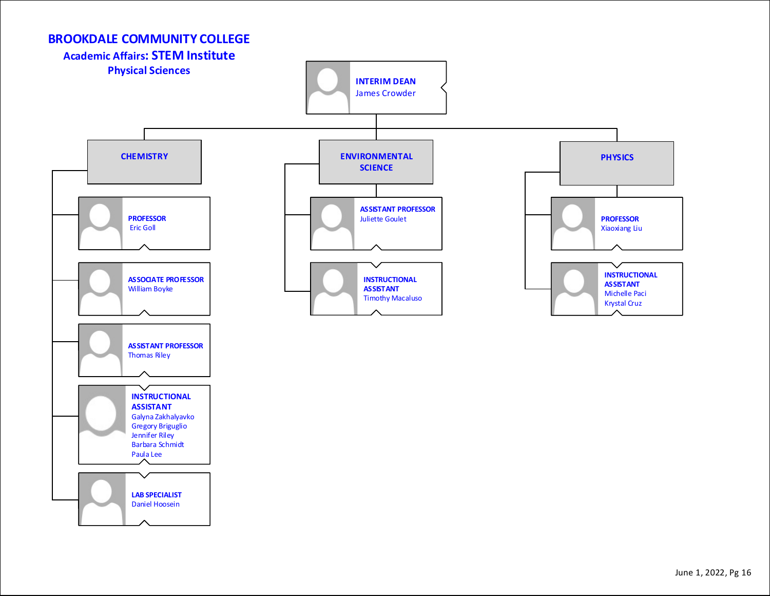

#### June 1, 2022, Pg 16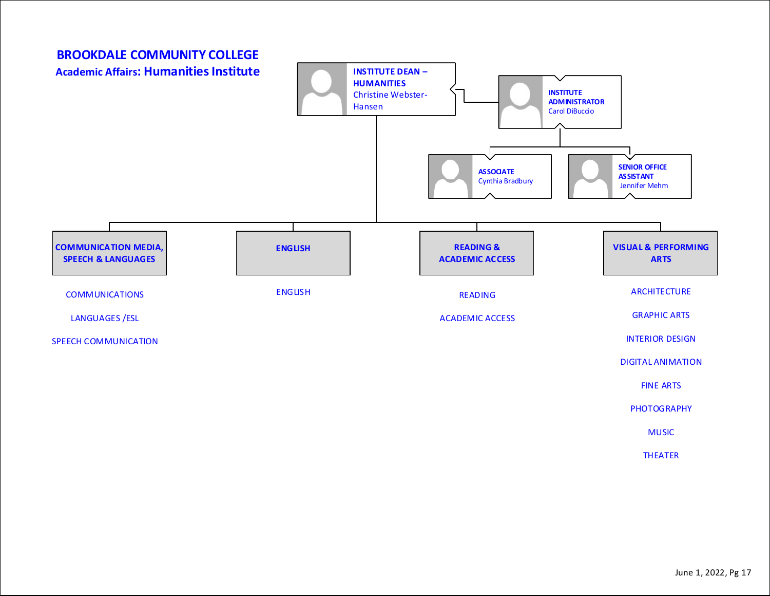

MUSIC

**THEATER**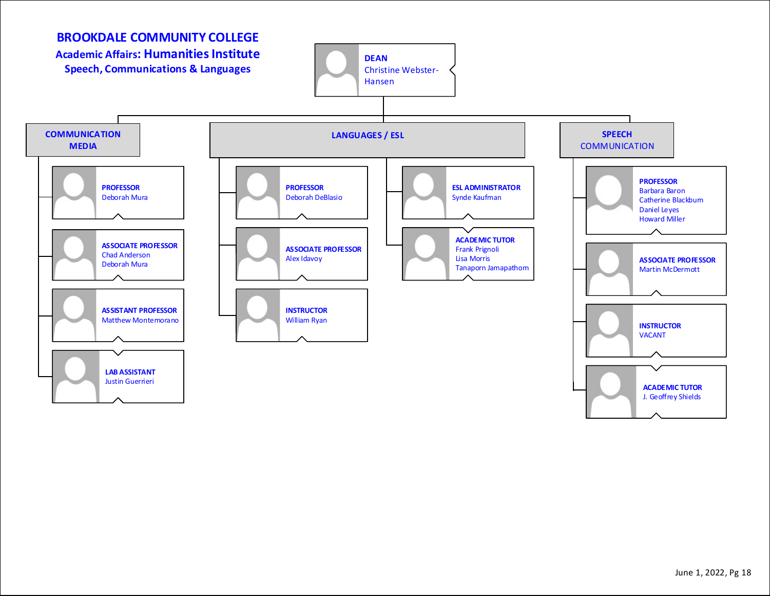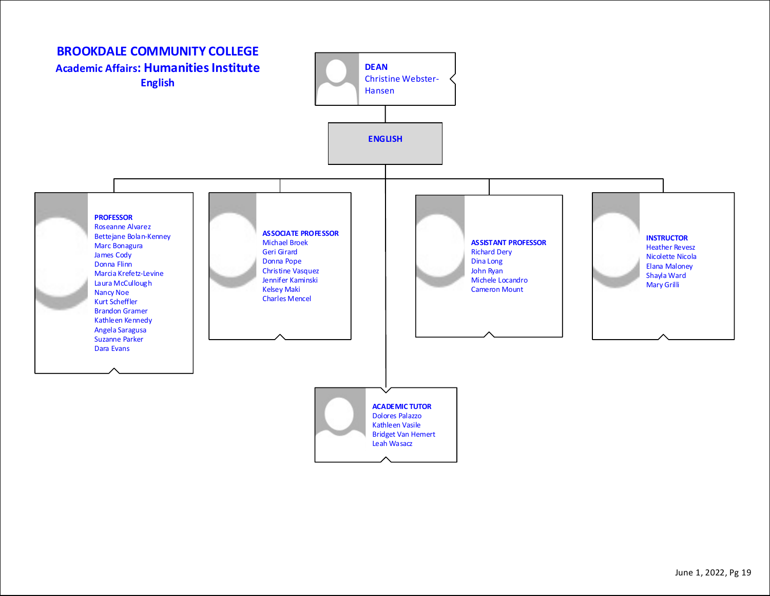![](_page_18_Figure_0.jpeg)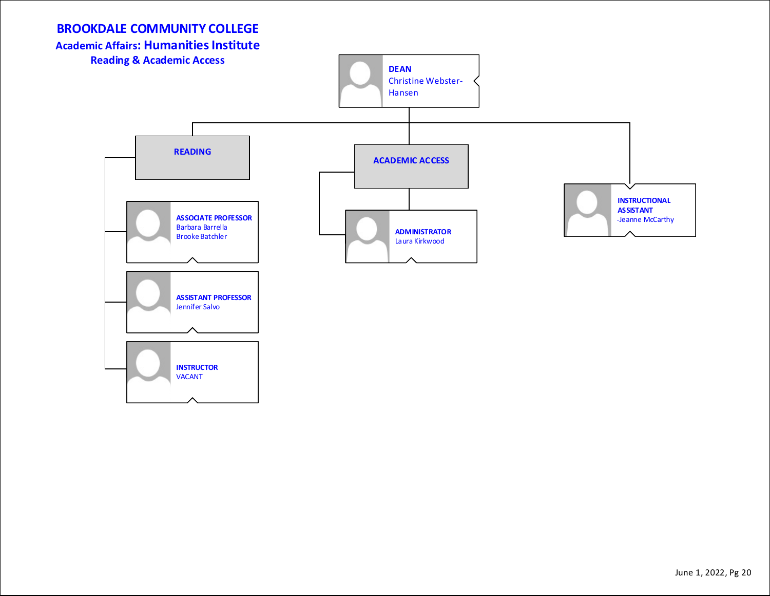**Academic Affairs: Humanities Institute**

![](_page_19_Figure_2.jpeg)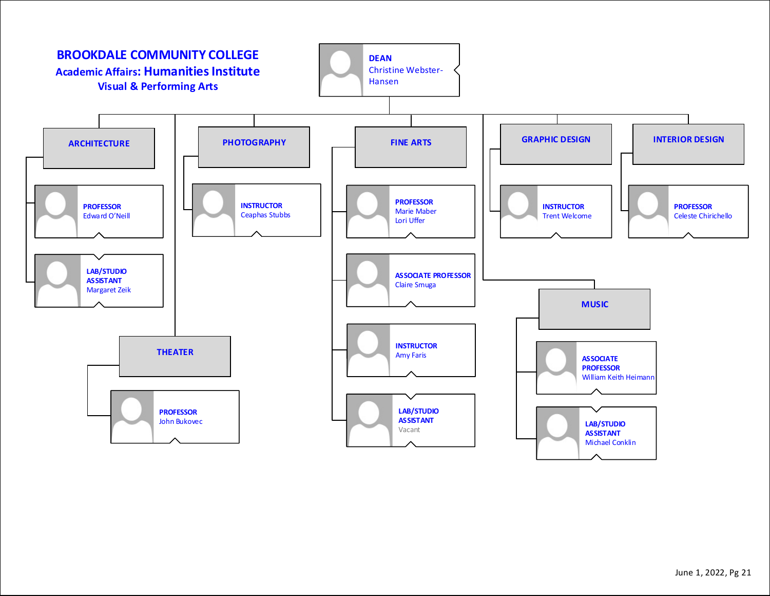![](_page_20_Figure_0.jpeg)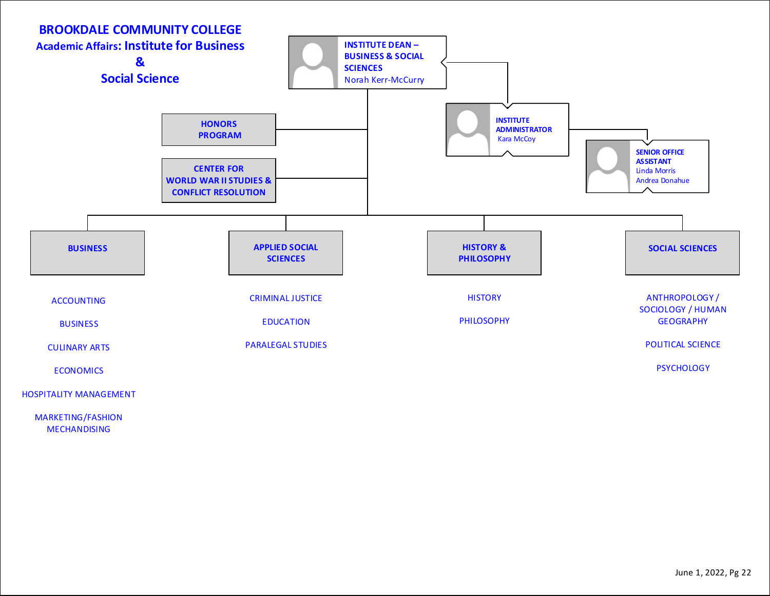![](_page_21_Figure_0.jpeg)

MARKETING/FASHION MECHANDISING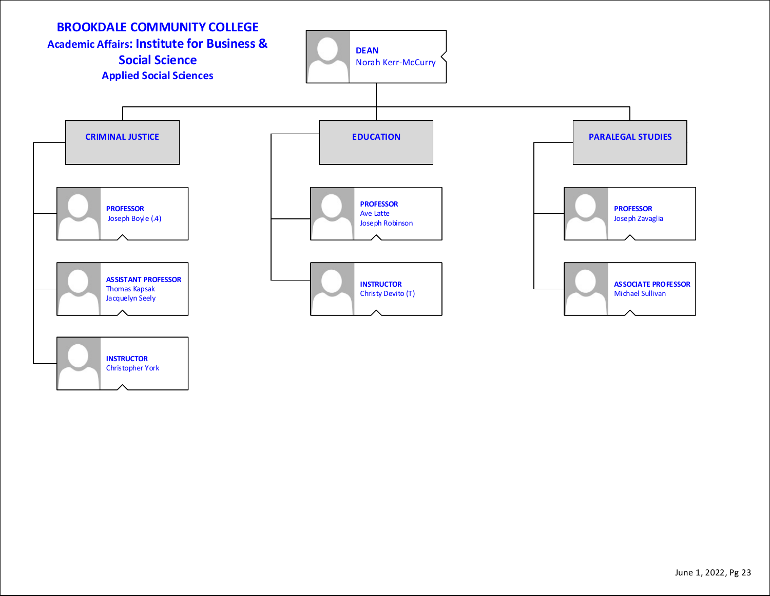![](_page_22_Figure_0.jpeg)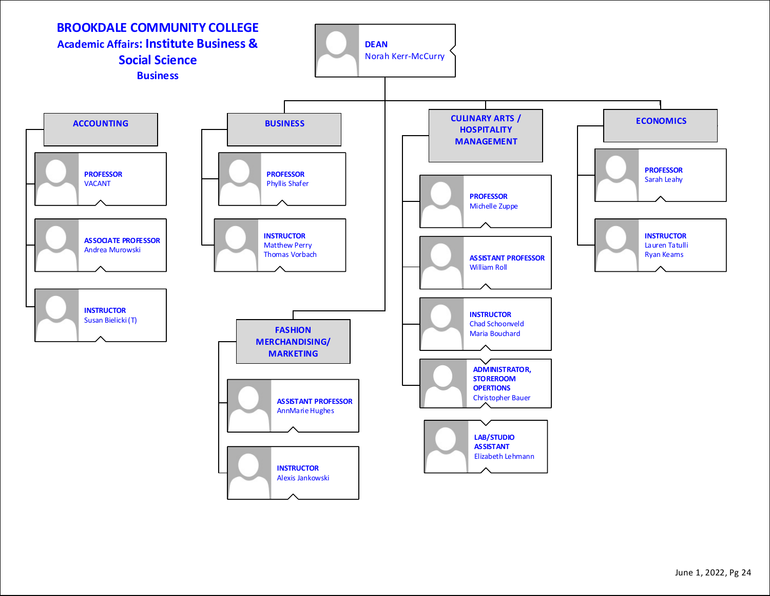![](_page_23_Figure_0.jpeg)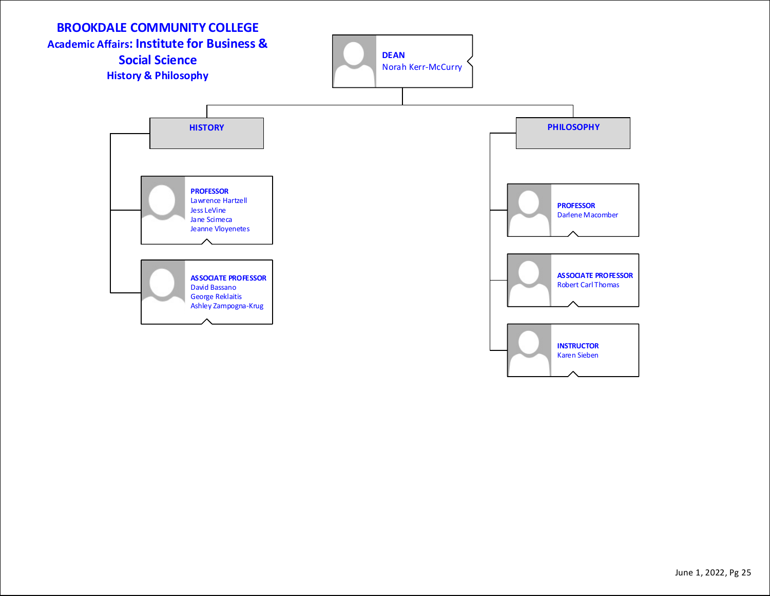![](_page_24_Figure_0.jpeg)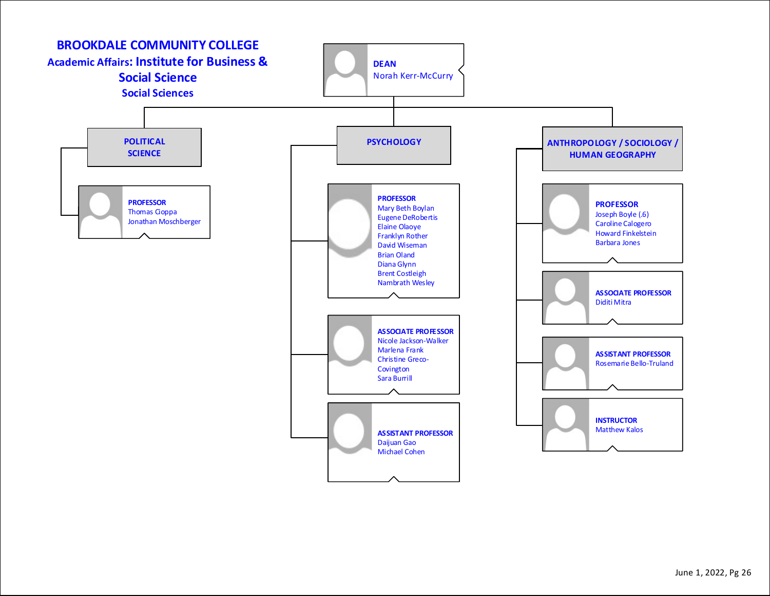![](_page_25_Figure_0.jpeg)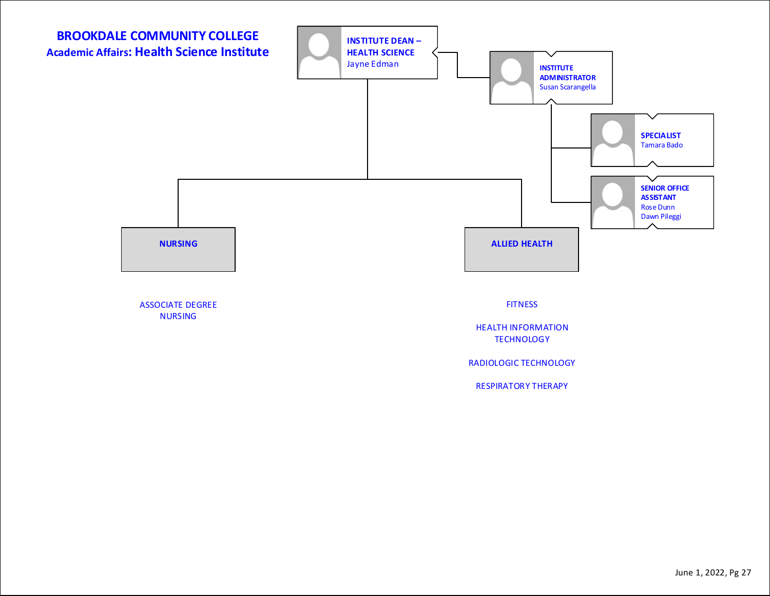![](_page_26_Figure_0.jpeg)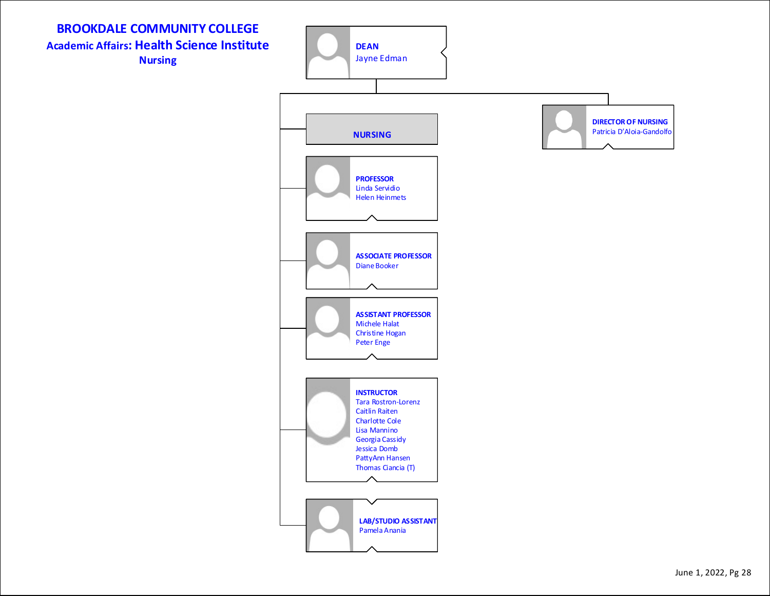**BROOKDALE COMMUNITY COLLEGE Academic Affairs: Health Science Institute Nursing**

![](_page_27_Figure_1.jpeg)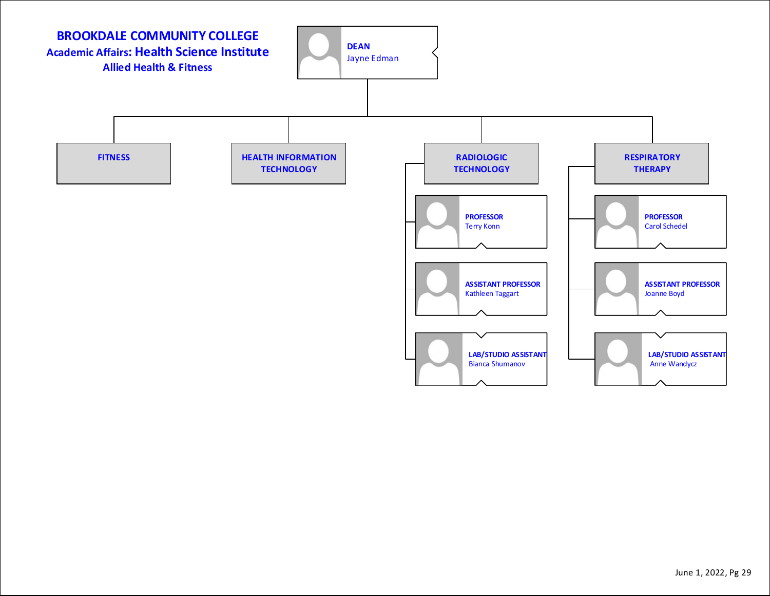![](_page_28_Figure_0.jpeg)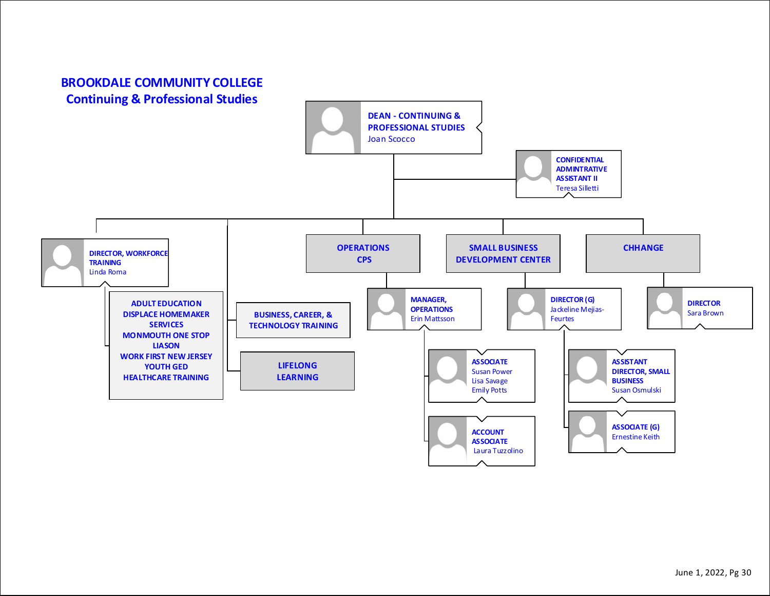## **BROOKDALE COMMUNITY COLLEGE Continuing & Professional Studies**

![](_page_29_Figure_1.jpeg)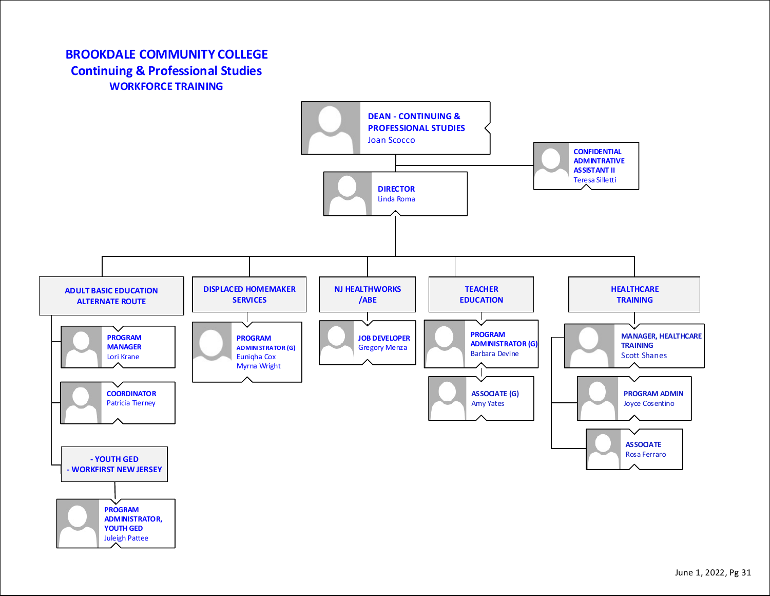## **BROOKDALE COMMUNITY COLLEGE Continuing & Professional Studies WORKFORCE TRAINING**

Juleigh Pattee

![](_page_30_Figure_1.jpeg)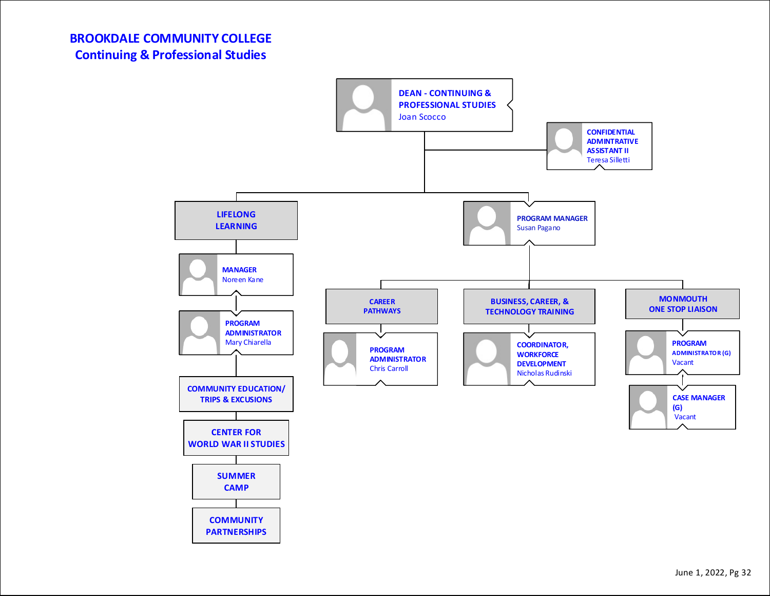![](_page_31_Figure_1.jpeg)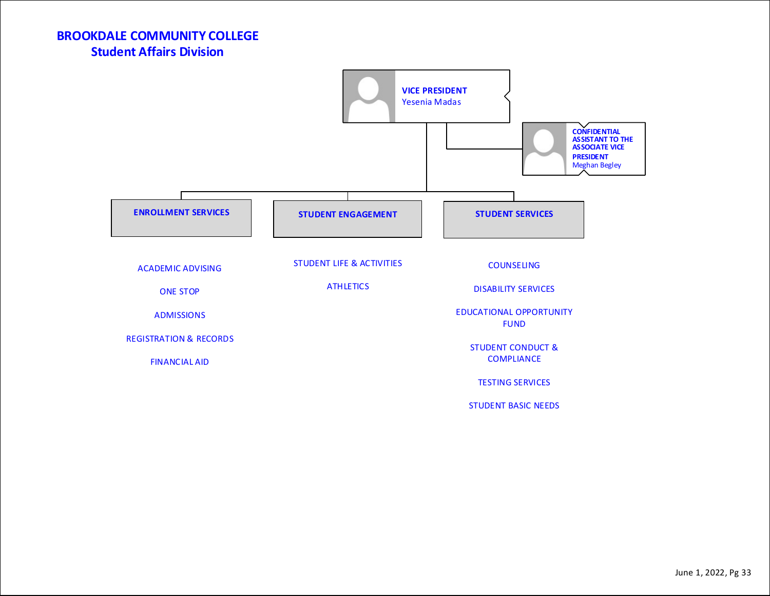**BROOKDALE COMMUNITY COLLEGE Student Affairs Division**

![](_page_32_Figure_1.jpeg)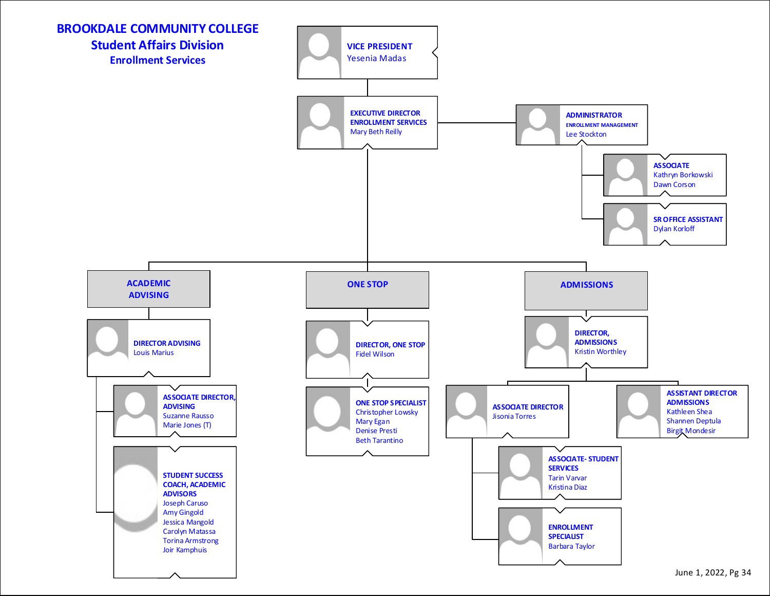![](_page_33_Figure_0.jpeg)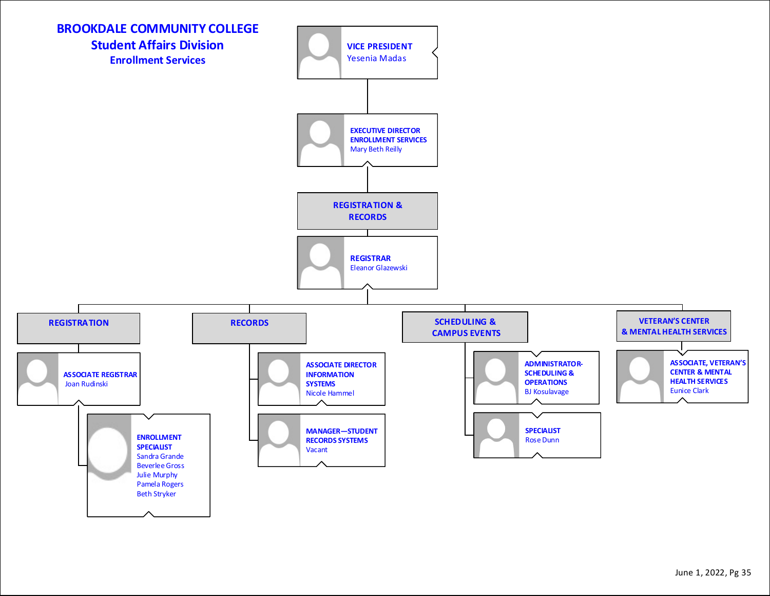![](_page_34_Figure_0.jpeg)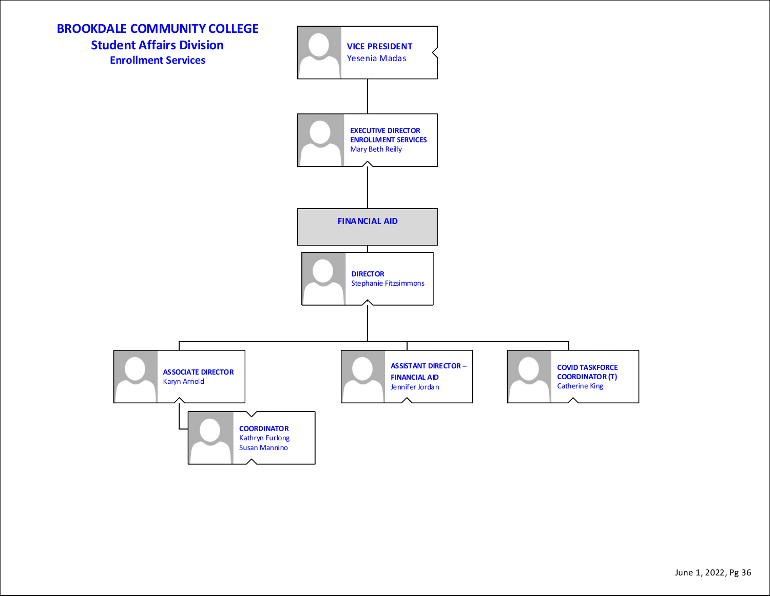![](_page_35_Figure_0.jpeg)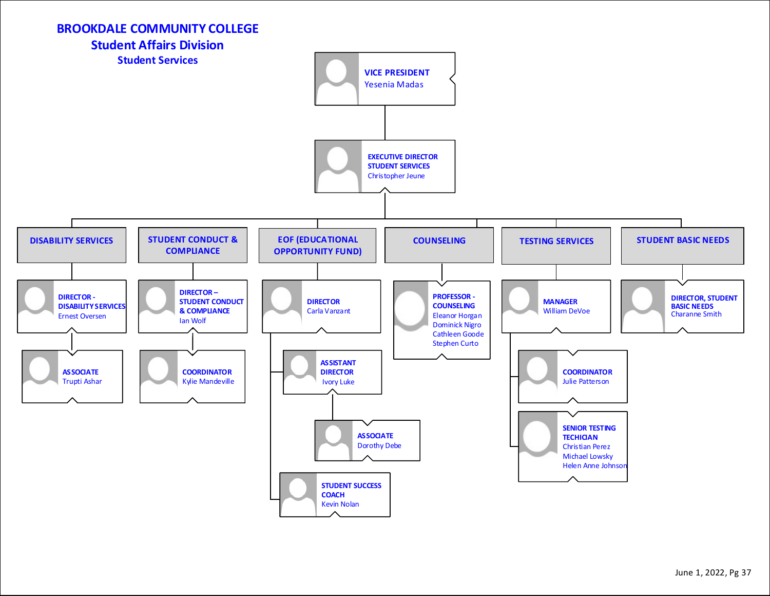![](_page_36_Figure_0.jpeg)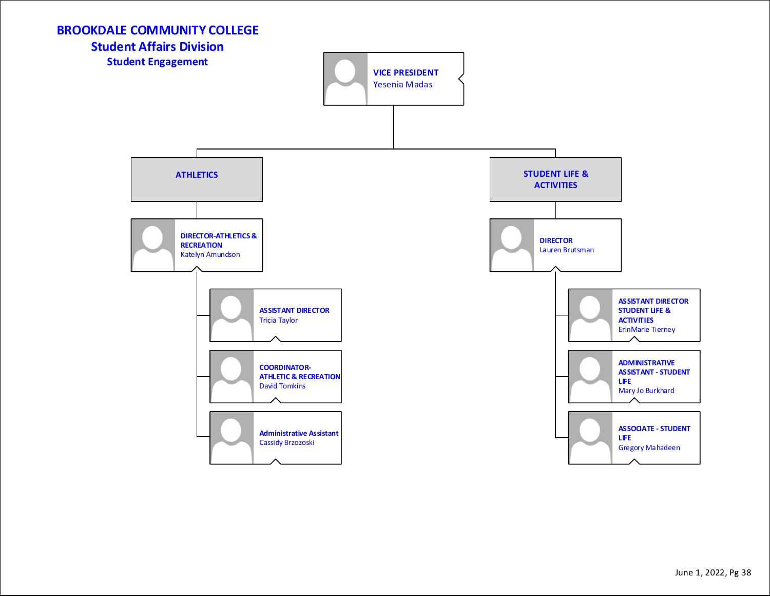![](_page_37_Figure_0.jpeg)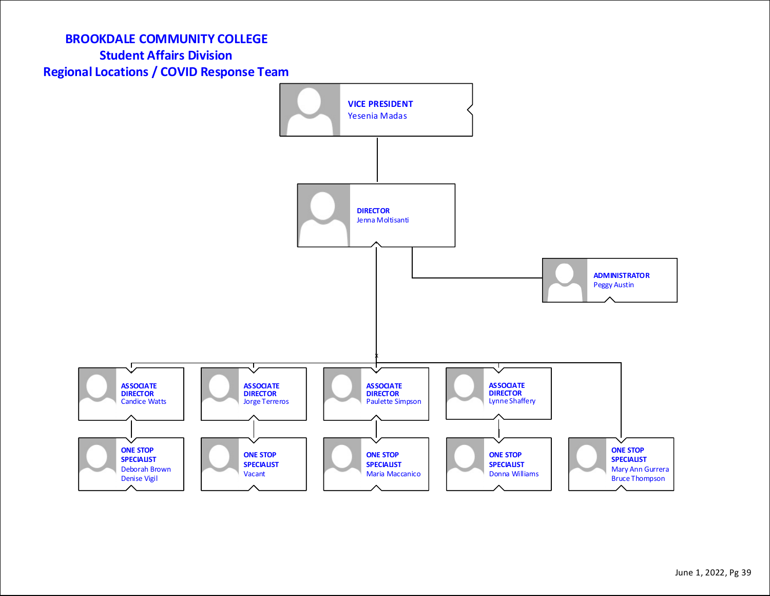# **BROOKDALE COMMUNITY COLLEGE Student Affairs Division Regional Locations / COVID Response Team**

![](_page_38_Figure_1.jpeg)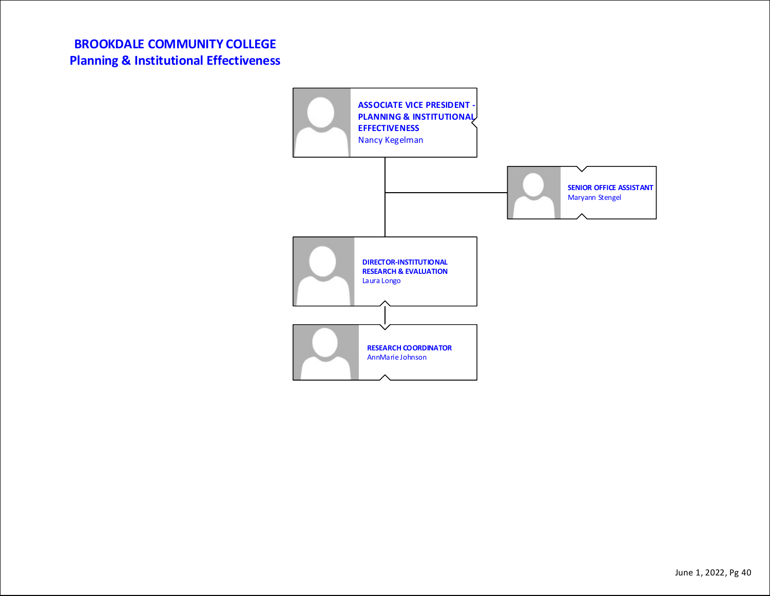## **BROOKDALE COMMUNITY COLLEGE Planning & Institutional Effectiveness**

![](_page_39_Figure_1.jpeg)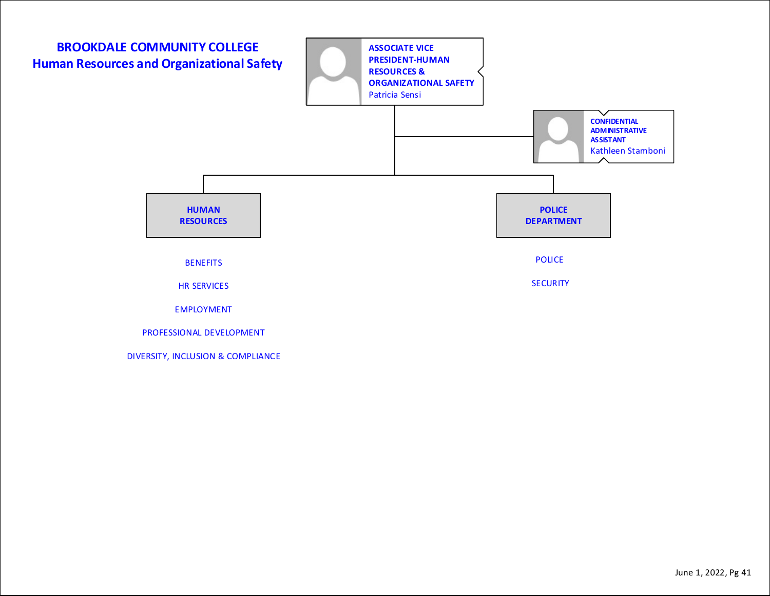![](_page_40_Figure_0.jpeg)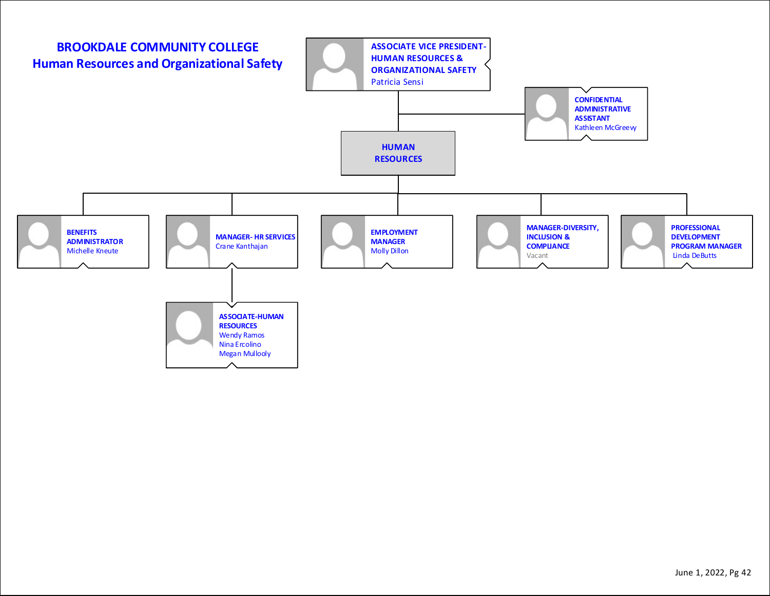![](_page_41_Figure_0.jpeg)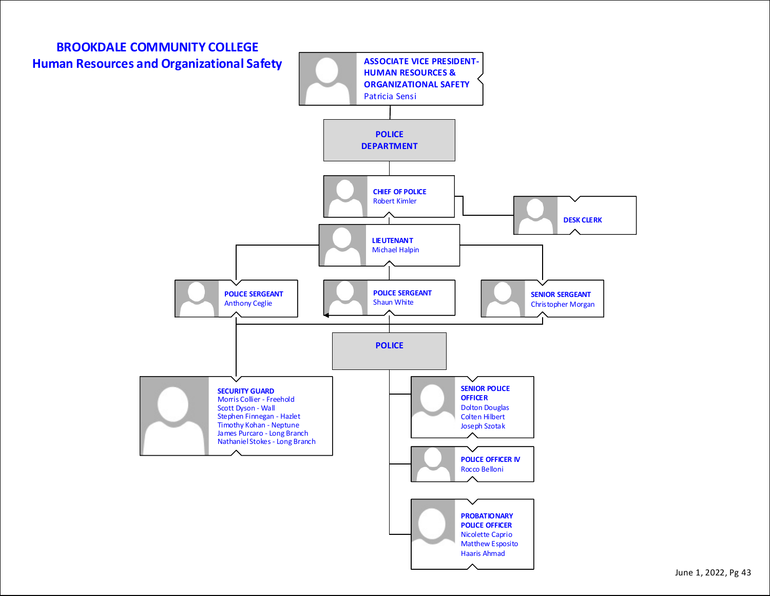![](_page_42_Figure_0.jpeg)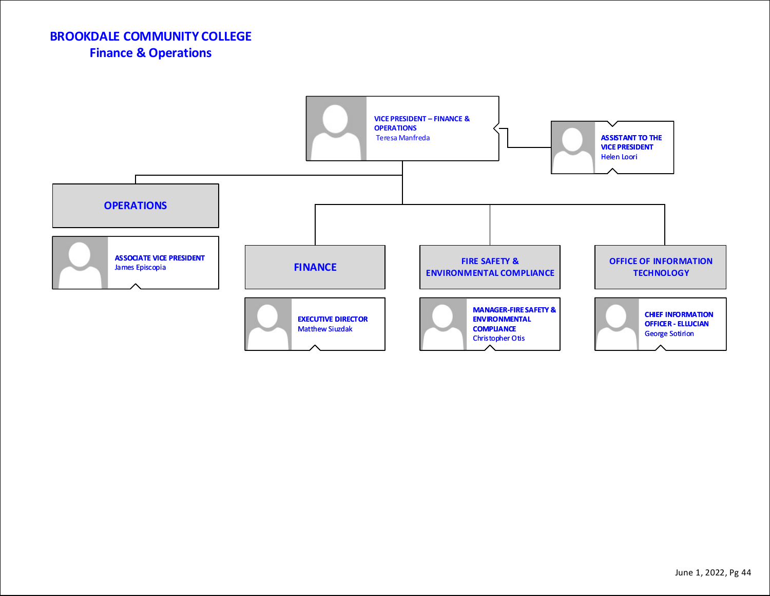## **BROOKDALE COMMUNITY COLLEGE Finance & Operations**

![](_page_43_Figure_1.jpeg)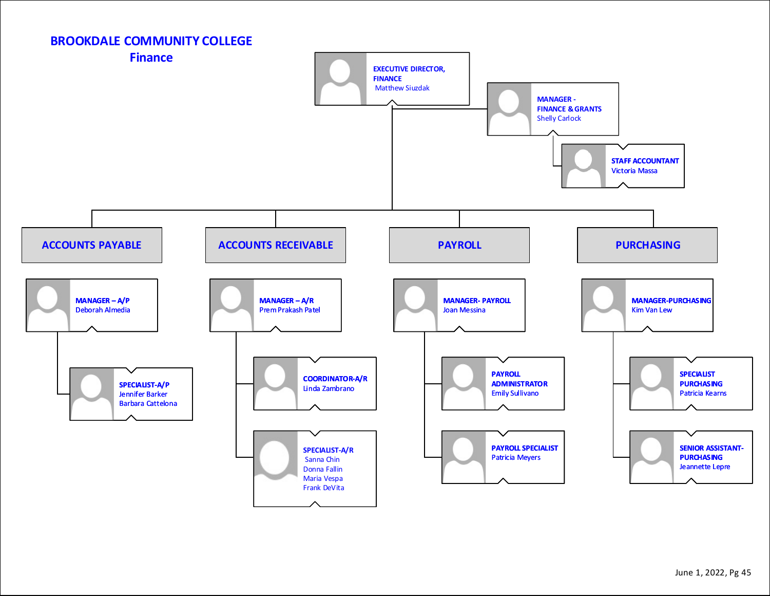![](_page_44_Figure_0.jpeg)

#### June 1, 2022, Pg 45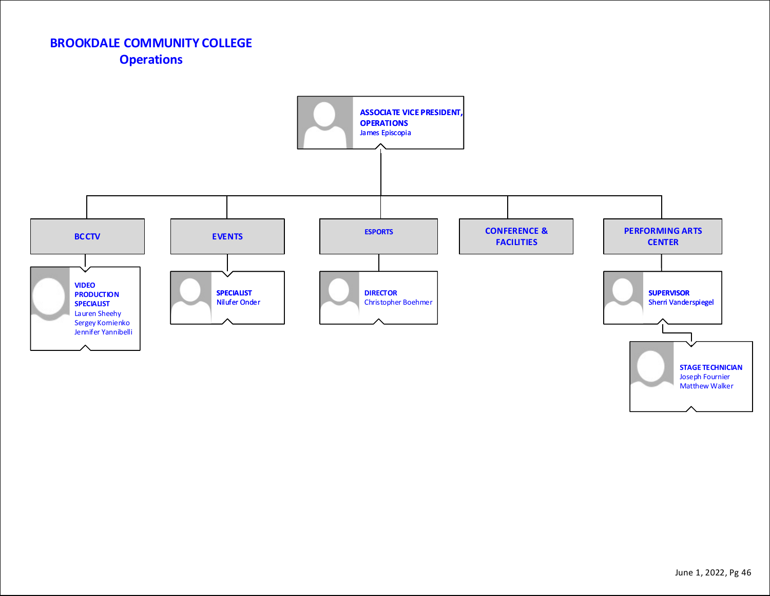## **BROOKDALE COMMUNITY COLLEGE Operations**

![](_page_45_Figure_1.jpeg)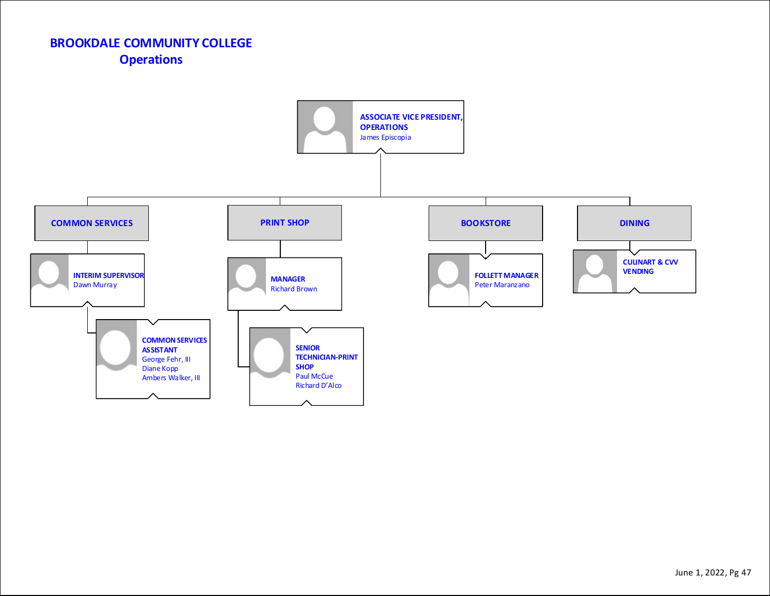# **BROOKDALE COMMUNITY COLLEGE Operations**

![](_page_46_Figure_1.jpeg)